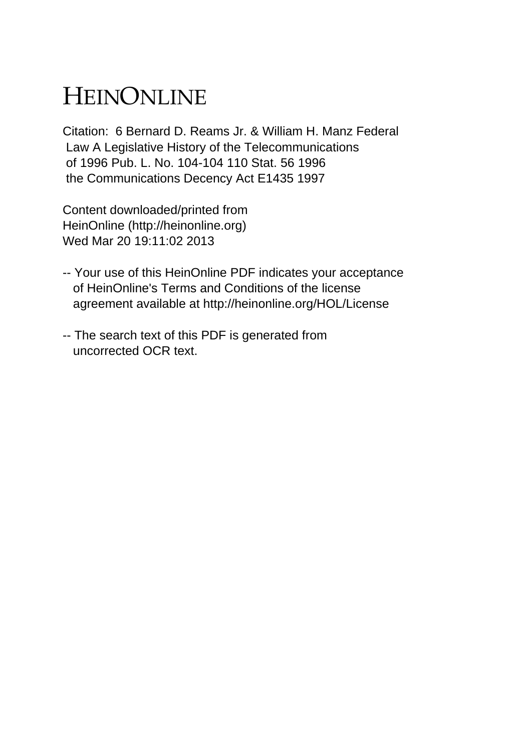# HEINONLINE

Citation: 6 Bernard D. Reams Jr. & William H. Manz Federal Law A Legislative History of the Telecommunications of 1996 Pub. L. No. 104-104 110 Stat. 56 1996 the Communications Decency Act E1435 1997

Content downloaded/printed from HeinOnline (http://heinonline.org) Wed Mar 20 19:11:02 2013

- -- Your use of this HeinOnline PDF indicates your acceptance of HeinOnline's Terms and Conditions of the license agreement available at http://heinonline.org/HOL/License
- -- The search text of this PDF is generated from uncorrected OCR text.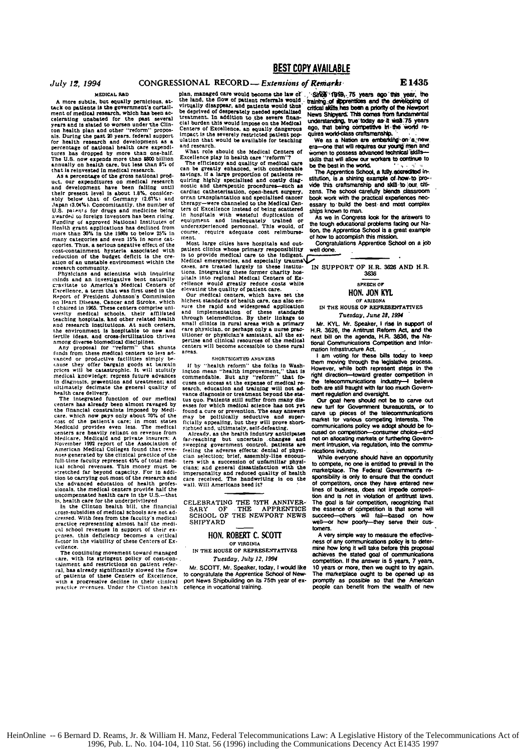### July 12, 1994

### MEDICAL RAD

A more subtle, but equally pernicious, at-<br>tack on patients is the government's curtail-<br>ment of medical research, which has been ac-<br>celerating unabated for the past several ment of medical research, which has been ac-<br>relating unabated for the past several years and is slated to worse under the Clin-<br>ton health plan and other "reform" proposition of the film and other "reform" proposition of

Funding of approved National Institutes of<br>Hending of approved National Institutes of<br>Hendin 20% in the 1990s to below 25% in<br>many categories and even 15% in some catexprises. Thus, a serious negative effect of the<br>cost-containment hysteria associated with<br>reduction of the budget deficit is the creation of an unstable environment within the

ation or a unstate invirting to the internal control of the problem of the problem in the control of the control of the control of the control of the control of the control of the control of the control of the control of t minds and an investigative bent naturally well method creating creating of the distinct creation of the state of the paper of President Johnson's Commission contents on the and the content of the content of the content of and research institutions. At such centers and research institutions. At such constants the environment is hospitable to new and<br>fertile ideas, and cross-fertilization thrives<br>among diverse-biomedical disciplines.

Any proposal for "reform" that shunts<br>funds from these medical centers to less advanced or productive facilities simply be-

timals from these medical centers of the state of the state of the cause that we are the prices will be catastrophic. It will studiify metical knowledge: repress from the prices will be catastrophic. It will studiify midd stretched as beyond capacity. For in addition to carrying out most of the research and<br>the advanced education of health profes-<br>sionals, the medical centers provide half the<br>uncompensated health care in the U.S.--that

site halth care for the underprivileged<br>is, health care for the underprivileged<br>in the Clinton health bill, the financial<br>cross-subsidies of medical schools are not adcress-aussiance of messed. With fees from the faculty's medical<br>practice representing almost half the medi-<br>cal school revenues in support of their exrenses, this deficiency becomes a critical factor in the viability of these Centers of Ex cellence.

The continuing movement toward managed care, with its stringent policy of cost-conral, has already significantly slowed the flow<br>of patients of these Centers of Excellence. with a progressive decline in their clinical<br>practice revenues. Under the Clinton health

### **BEST COPY AVAILABLE**

### CONGRESSIONAL RECORD - Extensions of Remarks

plan, managed care would become the law of plan, managed care would become the isse of<br>the land, the flow of patient referrals would<br>trivially disappear, and patients would thus<br>derived of desperately needed specialized<br>treatment. In addition to the severe finance<br> impact is the severely restricted patient population that would be available for teaching and research.

what role should the Medical Centers of

What role should the Medical Centers of<br>Excellence play in health care "reform"?<br>The efficiency and quality of medical care<br>can be greatly enhanced, with considerable<br>savings. If a large proportion of patients re-<br>quring h carumal cameron instanting of specialized cancer<br>therapy—were channeled to the Medical Centers of Excellence instead of being scattered of the incorrection with the second of the contraction of<br>equipment and inadequately trained or<br>underexperienced personnel. This would, of course, require adequate cost reimburse-

Most large cities have hospitals and outpatient clinics whose primary responsibility<br>is to provide medical care to the indigent. Medical emergencies, and especially traumates.<br>Cases, are treated largely in these institu-

cases, are treated largely in these institutions. Integrating these former charity hospitals into regional Medical Centers of Excellence would greatly reduce costs while<br>elevating the duality of patient care.<br> $\Omega$ <br>burn med other changes on the physician, or perhaps only a nurse practitioner or physician's assistant, all the expertise and clinical resources of the medical resources of the medical centers will become accessible to these rural areas.

### SHORTSIGHTED ANSWERS

If by "health reform" the folks in Washington mean "health improvement," that is commendable. But any "reform" that focommentance. But any "reform" cast the expense of medical research, education and training will not advance diagnosis or treatment beyond the sta-<br>tusquo. Fatients still suffer from many diseases for which medical science has not yet

esses for which medical science has not yet<br>about a search of the medical science has not yet<br>found a cure or prevention. The easy amery amount may be politically seductive and super-<br>fitching a position of the state in th

CELEBRATING THE 75TH ANNIVER-SARY OF THE APPRENTICE SCHOOL OF THE NEWPORT NEWS SHIPYARD

### HON. ROBERT C. SCOTT OF VIRGINIA

### IN THE HOUSE OF REPRESENTATIVES Tuesday, July 12, 1994

Mr. SCOTT, Mr. Speaker, today, I would like the south is the speaker, idealy, i would like<br>to congratulate the Apprentice School of New-<br>port News Shipbuilding on its 75th year of excellence in vocational training.

Show '1919, 75 years ago this year, the training of apprentices and the developing of critical skills has been a priority of the Newport News Shipyard. This comes from fundamental News Sharpfeld. This counter and the line and the age of the same and an and an and an an an and the world requires world cases craftsmanship.

We as a Nation are embarking on a new era-one that will requires our young men and<br>women to possess advanced technical skillsskills that will allow our workers to continue to be the best in the world.<br>The Apprentice School, a fully accredited in-

The Apprentice School, a tuty, accredited in-<br>struction, is a shiring example of how to provide this craftsmanship and skill to jour citi-<br>zens. The school carefully blends classroom<br>book work with the pactical experiences

As we in Congress look for the answers to<br>the tough educational problems facing our Nation, the Apprentice School is a great example of how to accomplish this mission.

Congratulations Apprentice School on a job well done.

IN SUPPORT OF H.R. 3626 AND H.R. 3636

### SPEECH OF

### HON. JON KYL

OF ARIZONA IN THE HOUSE OF REPRESENTATIVES Tuesday, June 28, 1994

Mr. KYL. Mr. Speaker, I rise in support of H.R. 3626, the Antitrust Reform Act, and the<br>next bill on the agenda, H.R. 3636, the National Communications Competition and Information Infrastructure Act.

I am voting for these bills today to keep them moving through the legislative process.<br>However, while both represent steps in the right direction-toward greater competition in the telecommunications industry-I believe<br>both are still fraught with far too much Government regulation and oversight.

Our goal here should not be to carve out new turf for Government bureaucrats, or to carve up pieces of the telecommunications<br>market for various competing interests. The numero for exercise communications policy we adopt should be fo-<br>cused on competition-consumer choice-and<br>not on allocating markets, or furthering Govern-<br>ment intrusion, via regulation, into the communion measure, we regarded, the see control<br>nications industry.<br>While everyone should have an opportunity

to compete, no one is entitled to prevail in the<br>marketplace. The Federal Government's responsibility is only to ensure that the conduct of competitors, once they have entered new<br>lines of business, does not impede competition and is not in violation of antitrust laws The goal is fair competition, recognizing that the essence of competition is that some will succeed others will fail based on how -or how poorly-they serve their cuswell tomers<sup>1</sup>

A very simple way to measure the effectiveness of any communications policy is to determine how long it will take before this proposal achieves the stated goal of communications competition. If the answer is 5 years, 7 years, 10 years or more, then we ought to try again. The marketplace ought to be opened up as<br>promptly as possible so that the American people can benefit from the wealth of new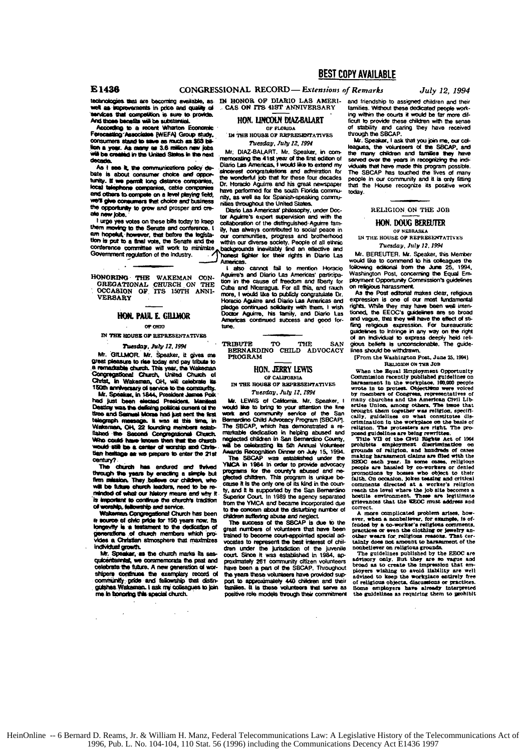technologies that are becoming available, as IN HONOR OF DIARIO LAS AMERIell as improvements in price and quality of con as supressions in pace and quality as<br>sendoes that competition is sure to provide.

According to a recent Wharton Economic PRODUCED TO B HOGHE WITHOUT ECONOMIC<br>Forecasting Associates (WEFA) Group study,<br>consumers stand to save as much as \$63 bilion a year. As many as 3.6 million new jobs<br>will be created in the United States in the next

As I see it, the communications policy debate is about consumer choice and opportunity. If we permit long distance companies, phone companies, cable compa local tale and others to compete on a level playing field, <sup>y</sup>il give consumers that choice and business the opportunity to grow and prosper and cre ale new lobs.

I urge yes votes on these bills today to keep them me ring to the Senate and conf am hopeful, however, that before the legisla-<br>tion is put to a final vote, the Senate and the conference committee will work to minimize Government regulation of the industry.

HONORING THE WAKEMAN CONGREGATIONAL CHURCH ON THE OCCASION OF ITS 150TH ANNI-**VERSARY** 

### **HON. PAUL E. GILLMOR**

#### OP ORTO

IN THE HOUSE OF REPRESENTATIVES

### Tuesday, July 12, 1994

Mr. GILLMOR. Mr. Speaker, it gives me peat pleasure to rise today and pay tribute to<br>a remadtable church. This year, the Wakeman<br>Congregational Church, United Church of ست st, in Wakaman, OH, will celebrate its 150th anniversary of service to the community.<br>Mr. Speaker, in 1844, President James Polk

had just been elected President Maniecal<br>Destiny was the deficing political current of the<br>time and Samuel Morae had just sent the first series and counter more than the base of this time, in<br>Waterman, OH, 22 founding members established the Second Congregational Church<br>Who could have innoun then that the church d still be a center of worship and Christian hailtage as we prepare to enter the 21st century?

church has endured and thrived The through the years by enacting a simple but<br>firm mission. They believe our children, who will be future church leaders, need to be reminded of what our history means and why it is important to continue the cherch's tradition of w **vship, fellowship and service.** 

Wakerinan Congregational Church has been<br>a source of civic pride for 150 years now, its<br>longevity is a testament to the dedication of generations of church members which proindividual growth.

Mr. Speaker, as the church marks its se quiceritannial, we commemorate the past and celebrate the future. A new generation of worshipers continues the exemplary record of<br>community pride and failowship that distinguishes. Waterman. I ask my colleagues to join me in bonoring this special church.

CAS ON ITS 41ST ANNIVERSARY

HON. LINCOLN DIAZ-BALART

CONGRESSIONAL RECORD - Extensions of Remarks

OF FLORIDA IN THE HOUSE OF REPRESENTATIVES Tuesday, July 12, 1994

Mr. DIAZ-BALART. Mr. Speaker, in com-<br>memorating the 41st year of the first edition of<br>Diario Las Americas, I would like to extend my sincerest congratulations and admiration for mп wonderful job that for these four decades Dr. Horacio Acuirra and his graat newspaper have performed for the south Florida community, as well as for Spanish-speaking commuas throughout the United States.

Diario Las Americas' philosophy, under Doctor Aguirre's expert supervision and with the<br>collaboration of the distinguished Aguirre family, has always contributed to social peace in wy, reas anways communities, progress and brotherhood<br>within our diverse society. People of all ethnic<br>backgrounds inewitably find an effective and<br>backgrounds inewitably find an effective and Americas.

also cannot fail to mention Horacio Aguirre's and Diario Las Americas' participa-<br>tion in the cause of freedom and fiberty for Cuba and Nicaragua. For all this, and rauch<br>more, I would like to publicly congratulate Dr. Horacio Aguirre and Diario Las Americas and pladge continued solidarity with them. I wish<br>Doctor Aguirre, his family, and Diario Las Americas continued success and good fortune.

**TRIBUTE TO** THE SAN BERNARDINO CHILD ADVOCACY

### HON. JERRY LEWIS

OF CALIFORNIA IN THE HOUSE OF REPRESENTATIVES Tuesday, July 12, 1994

LEWIS of California. Mr. Speaker м week the to bring to your attention the fine<br>week like to bring to your attention the fine<br>Bernardino Child Advocacy Program [SBCAP]. The SBCAP, which has demonstrated a reneglected children in San Bernardino County, will be celebrating its 5th Annual Volunteer<br>Awards Recognition Dinner on July 15, 1994.

The SBCAP was established under the<br>YMCA in 1984 in order to provide advocacy Theory is the country's abused and ne-<br>programs for the country's abused and ne-<br>clause it is the only one of its kind in the country<br>for the San Bernardino<br>by, and it is supported by the San Bernardino uperior Court. In 1989 the agency separated from the YMCA and became incorporated due to the concern about the disturbing number of

children suffering abuse and neglect.<br>The success of the SBCAP is due to the great numbers of volunteers that have been trained to become court-appointed special advocates to represent the best interest of childran under the jurisdiction of the juvenile<br>court. Since it was established in 1984, aproximately 261 community citizen volunts have been a part of the SBCAP. Throughout the years these volunteers have provided support to approximately 440 children and their<br>families. It is these volunteers that serve as positive role models through their commitment

July 12, 1994

and friendship to assigned children and their tamilies. Without these dedicated people working within the courts it would be far more difficult to provide these children with the sense of stability and caring they have received<br>through the SBCAP.

Mr. Speaker, I ask that you join me, our colleagues, the volunteers of the SBCAP, and<br>the many children and families they have served over the years in recognizing the indi-*Aduals that have made this program possible.* The SBCAP has touched the lives of many people in our community and it is only fitting that the House recognize its positive wo today.

### RELIGION ON THE JOB

### HON. DOUG BEREUTER

OF NEBRASKA IN THE HOUSE OF REPRESENTATIVES Tuesday, July 12, 1994

Mr. BEREUTER, Mr. Speaker, this Member ould like to commend to his colleagues the following editorial from the June 25, 1994. Washington Post, concerning the Equal Employment Opportunity Commission's guidelines on religious harassment.

As the Post editorial makes clear, religious expression is one of our most fundamental rights. While they may have been well intentioned, the EEOC's guidelines are so broad fling religious expression. For bureaucratic tines to intringe in any way on the right ouide placements to animals the suppose deeply held religious beliefs is unconscionable. The guidelines should be withdrawn.

(From the Washington Post, June 25, 1994). RELIGION ON THE JOB

Note that the Regular Commission of the Regular Commission recently published guidelines on<br>the Baylon meaning published guidelines on the brownless of Commission<br>published and the brownless of Congress, representatives of many churches and the American Criti Lib Constant<br>erties Union, among others. The issue that<br>brought them together was religion, specifically, guidelines on what constitutes dis-<br>crimination in the workplace on the basis o

grounds of valigion, and handreds of cases<br>making haraszment claims are filed with the EEOC each year. In some cases, religious<br>poople are has<br>aled by co-workers or denied proposed in the people are has<br>aled by co-workers reach the level where the job site becomes nes a grievances that the REOC must addi correct.

correct.<br>
A more complicated problem arises, however, when a nonbeliever, for example, is of-<br>
fended by a co-worker's religious comments,<br>
practices or even the clothing or jewelry an-<br>
practices or even the clothing or j

camp were on religious grounds.<br>The guidelines published by the EEOC are advisory only. But they are so vague and broad as to create the impression that employers wishing to avoid liability are well phoyers wising to avoid manifest and the advised to keep the workplace entirely free of religious objects, discussions or practices.<br>Some employers have already interpreted in the guidelines as requiring them to prohibit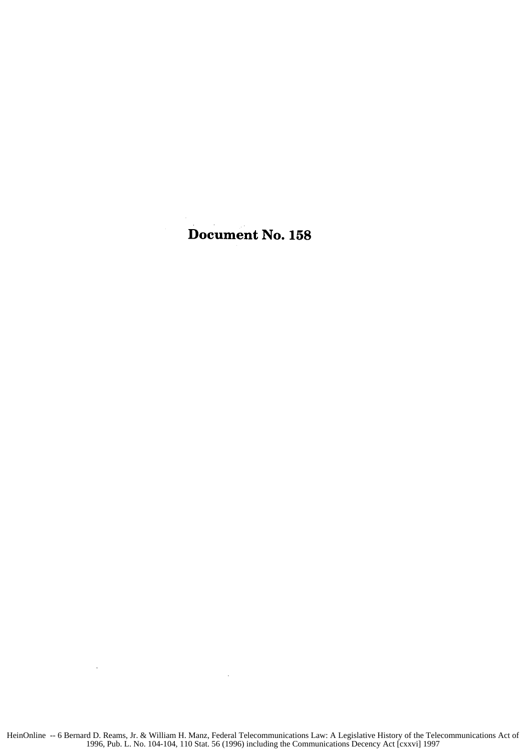## Document No. **158**

 $\sim$   $\sim$ 

 $\bar{\mathcal{A}}$